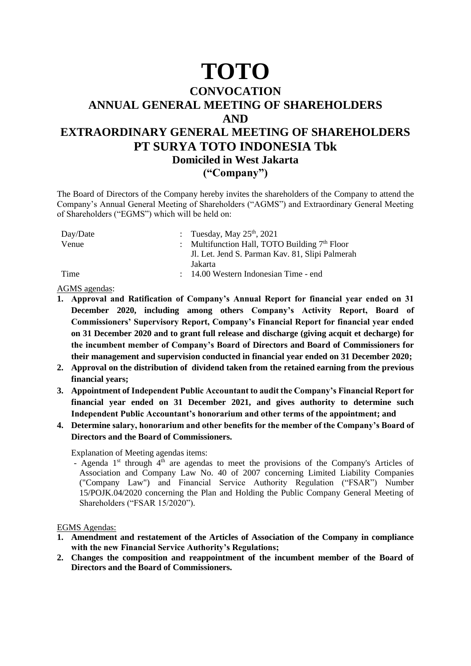## **TOTO**

## **CONVOCATION ANNUAL GENERAL MEETING OF SHAREHOLDERS AND EXTRAORDINARY GENERAL MEETING OF SHAREHOLDERS PT SURYA TOTO INDONESIA Tbk Domiciled in West Jakarta ("Company")**

The Board of Directors of the Company hereby invites the shareholders of the Company to attend the Company's Annual General Meeting of Shareholders ("AGMS") and Extraordinary General Meeting of Shareholders ("EGMS") which will be held on:

| Day/Date | : Tuesday, May $25th$ , 2021                     |
|----------|--------------------------------------------------|
| Venue    | : Multifunction Hall, TOTO Building $7th$ Floor  |
|          | Jl. Let. Jend S. Parman Kav. 81, Slipi Palmerah  |
|          | Jakarta                                          |
| Time     | $\therefore$ 14.00 Western Indonesian Time - end |

AGMS agendas:

- **1. Approval and Ratification of Company's Annual Report for financial year ended on 31 December 2020, including among others Company's Activity Report, Board of Commissioners' Supervisory Report, Company's Financial Report for financial year ended on 31 December 2020 and to grant full release and discharge (giving acquit et decharge) for the incumbent member of Company's Board of Directors and Board of Commissioners for their management and supervision conducted in financial year ended on 31 December 2020;**
- **2. Approval on the distribution of dividend taken from the retained earning from the previous financial years;**
- **3. Appointment of Independent Public Accountant to audit the Company's Financial Report for financial year ended on 31 December 2021, and gives authority to determine such Independent Public Accountant's honorarium and other terms of the appointment; and**
- **4. Determine salary, honorarium and other benefits for the member of the Company's Board of Directors and the Board of Commissioners.**

Explanation of Meeting agendas items:

- Agenda  $1<sup>st</sup>$  through  $4<sup>th</sup>$  are agendas to meet the provisions of the Company's Articles of Association and Company Law No. 40 of 2007 concerning Limited Liability Companies ("Company Law") and Financial Service Authority Regulation ("FSAR") Number 15/POJK.04/2020 concerning the Plan and Holding the Public Company General Meeting of Shareholders ("FSAR 15/2020").

EGMS Agendas:

- **1. Amendment and restatement of the Articles of Association of the Company in compliance with the new Financial Service Authority's Regulations;**
- **2. Changes the composition and reappointment of the incumbent member of the Board of Directors and the Board of Commissioners.**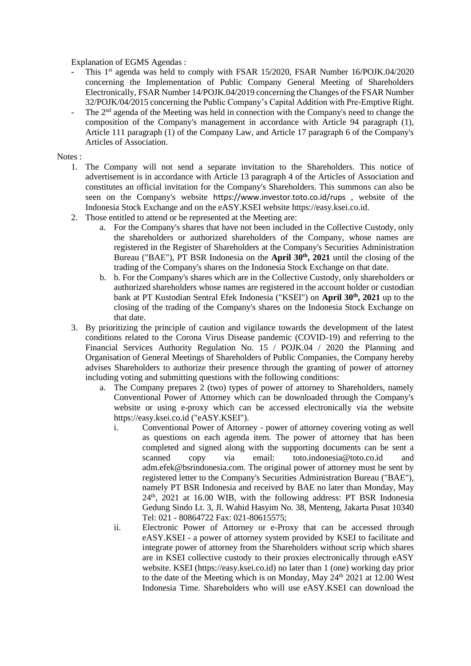Explanation of EGMS Agendas :

- This 1<sup>st</sup> agenda was held to comply with FSAR 15/2020, FSAR Number 16/POJK.04/2020 concerning the Implementation of Public Company General Meeting of Shareholders Electronically, FSAR Number 14/POJK.04/2019 concerning the Changes of the FSAR Number 32/POJK/04/2015 concerning the Public Company's Capital Addition with Pre-Emptive Right.
- The  $2<sup>nd</sup>$  agenda of the Meeting was held in connection with the Company's need to change the composition of the Company's management in accordance with Article 94 paragraph (1), Article 111 paragraph (1) of the Company Law, and Article 17 paragraph 6 of the Company's Articles of Association.

Notes :

- 1. The Company will not send a separate invitation to the Shareholders. This notice of advertisement is in accordance with Article 13 paragraph 4 of the Articles of Association and constitutes an official invitation for the Company's Shareholders. This summons can also be seen on the Company's website https://www.investor.toto.co.id/rups , website of the Indonesia Stock Exchange and on the eASY.KSEI website [https://easy.ksei.co.id.](https://easy.ksei.co.id/)
- 2. Those entitled to attend or be represented at the Meeting are:
	- a. For the Company's shares that have not been included in the Collective Custody, only the shareholders or authorized shareholders of the Company, whose names are registered in the Register of Shareholders at the Company's Securities Administration Bureau ("BAE"), PT BSR Indonesia on the **April 30th, 2021** until the closing of the trading of the Company's shares on the Indonesia Stock Exchange on that date.
	- b. b. For the Company's shares which are in the Collective Custody, only shareholders or authorized shareholders whose names are registered in the account holder or custodian bank at PT Kustodian Sentral Efek Indonesia ("KSEI") on **April 30th, 2021** up to the closing of the trading of the Company's shares on the Indonesia Stock Exchange on that date.
- 3. By prioritizing the principle of caution and vigilance towards the development of the latest conditions related to the Corona Virus Disease pandemic (COVID-19) and referring to the Financial Services Authority Regulation No. 15 / POJK.04 / 2020 the Planning and Organisation of General Meetings of Shareholders of Public Companies, the Company hereby advises Shareholders to authorize their presence through the granting of power of attorney including voting and submitting questions with the following conditions:
	- a. The Company prepares 2 (two) types of power of attorney to Shareholders, namely Conventional Power of Attorney which can be downloaded through the Company's website or using e-proxy which can be accessed electronically via the website https://easy.ksei.co.id ("eASY.KSEI").
		- i. Conventional Power of Attorney power of attorney covering voting as well as questions on each agenda item. The power of attorney that has been completed and signed along with the supporting documents can be sent a scanned copy via email: toto.indonesia@toto.co.id and adm.efek@bsrindonesia.com. The original power of attorney must be sent by registered letter to the Company's Securities Administration Bureau ("BAE"), namely PT BSR Indonesia and received by BAE no later than Monday, May  $24<sup>th</sup>$ ,  $2021$  at 16.00 WIB, with the following address: PT BSR Indonesia Gedung Sindo Lt. 3, Jl. Wahid Hasyim No. 38, Menteng, Jakarta Pusat 10340 Tel: 021 - 80864722 Fax: 021-80615575;
		- ii. Electronic Power of Attorney or e-Proxy that can be accessed through eASY.KSEI - a power of attorney system provided by KSEI to facilitate and integrate power of attorney from the Shareholders without scrip which shares are in KSEI collective custody to their proxies electronically through eASY website. KSEI (https://easy.ksei.co.id) no later than 1 (one) working day prior to the date of the Meeting which is on Monday, May  $24<sup>th</sup> 2021$  at 12.00 West Indonesia Time. Shareholders who will use eASY.KSEI can download the